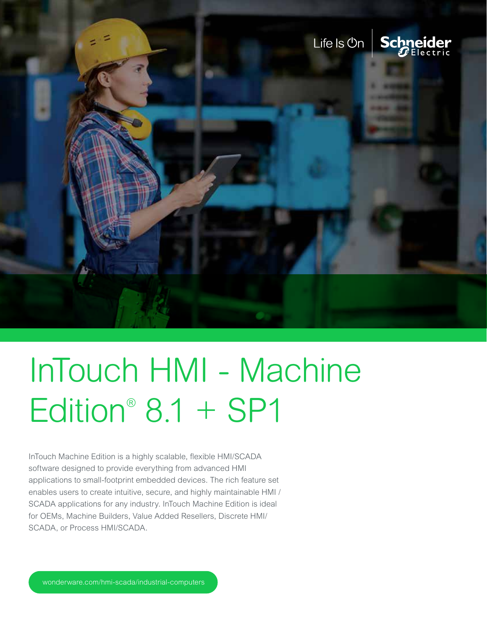

InTouch Machine Edition is a highly scalable, flexible HMI/SCADA software designed to provide everything from advanced HMI applications to small-footprint embedded devices. The rich feature set enables users to create intuitive, secure, and highly maintainable HMI / SCADA applications for any industry. InTouch Machine Edition is ideal for OEMs, Machine Builders, Value Added Resellers, Discrete HMI/ SCADA, or Process HMI/SCADA.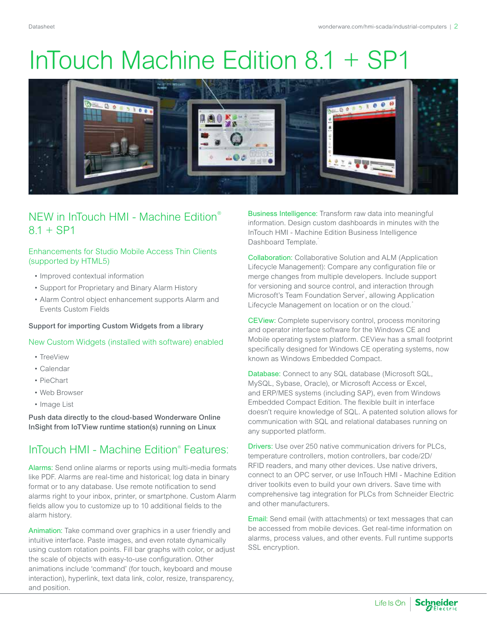

### NEW in InTouch HMI - Machine Edition®  $8.1 + SP1$

#### Enhancements for Studio Mobile Access Thin Clients (supported by HTML5)

- Improved contextual information
- Support for Proprietary and Binary Alarm History
- Alarm Control object enhancement supports Alarm and Events Custom Fields

#### Support for importing Custom Widgets from a library

#### New Custom Widgets (installed with software) enabled

- TreeView
- Calendar
- PieChart
- Web Browser
- Image List

Push data directly to the cloud-based Wonderware Online InSight from IoTView runtime station(s) running on Linux

### InTouch HMI - Machine Edition® Features:

Alarms: Send online alarms or reports using multi-media formats like PDF. Alarms are real-time and historical; log data in binary format or to any database. Use remote notification to send alarms right to your inbox, printer, or smartphone. Custom Alarm fields allow you to customize up to 10 additional fields to the alarm history.

Animation: Take command over graphics in a user friendly and intuitive interface. Paste images, and even rotate dynamically using custom rotation points. Fill bar graphs with color, or adjust the scale of objects with easy-to-use configuration. Other animations include 'command' (for touch, keyboard and mouse interaction), hyperlink, text data link, color, resize, transparency, and position.

Business Intelligence: Transform raw data into meaningful information. Design custom dashboards in minutes with the InTouch HMI - Machine Edition Business Intelligence Dashboard Template.

Collaboration: Collaborative Solution and ALM (Application Lifecycle Management): Compare any configuration file or merge changes from multiple developers. Include support for versioning and source control, and interaction through Microsoft's Team Foundation Server, allowing Application Lifecycle Management on location or on the cloud.<sup>+</sup>

CEView: Complete supervisory control, process monitoring and operator interface software for the Windows CE and Mobile operating system platform. CEView has a small footprint specifically designed for Windows CE operating systems, now known as Windows Embedded Compact.

Database: Connect to any SQL database (Microsoft SQL, MySQL, Sybase, Oracle), or Microsoft Access or Excel, and ERP/MES systems (including SAP), even from Windows Embedded Compact Edition. The flexible built in interface doesn't require knowledge of SQL. A patented solution allows for communication with SQL and relational databases running on any supported platform.

Drivers: Use over 250 native communication drivers for PLCs, temperature controllers, motion controllers, bar code/2D/ RFID readers, and many other devices. Use native drivers, connect to an OPC server, or use InTouch HMI - Machine Edition driver toolkits even to build your own drivers. Save time with comprehensive tag integration for PLCs from Schneider Electric and other manufacturers.

Email: Send email (with attachments) or text messages that can be accessed from mobile devices. Get real-time information on alarms, process values, and other events. Full runtime supports SSL encryption.

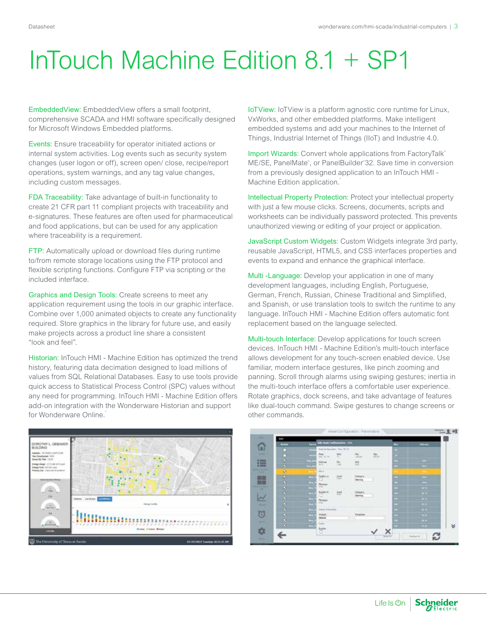EmbeddedView: EmbeddedView offers a small footprint, comprehensive SCADA and HMI software specifically designed for Microsoft Windows Embedded platforms.

Events: Ensure traceability for operator initiated actions or internal system activities. Log events such as security system changes (user logon or off), screen open/ close, recipe/report operations, system warnings, and any tag value changes, including custom messages.

FDA Traceability: Take advantage of built-in functionality to create 21 CFR part 11 compliant projects with traceability and e-signatures. These features are often used for pharmaceutical and food applications, but can be used for any application where traceability is a requirement.

FTP: Automatically upload or download files during runtime to/from remote storage locations using the FTP protocol and flexible scripting functions. Configure FTP via scripting or the included interface.

Graphics and Design Tools: Create screens to meet any application requirement using the tools in our graphic interface. Combine over 1,000 animated objects to create any functionality required. Store graphics in the library for future use, and easily make projects across a product line share a consistent "look and feel".

Historian: InTouch HMI - Machine Edition has optimized the trend history, featuring data decimation designed to load millions of values from SQL Relational Databases. Easy to use tools provide quick access to Statistical Process Control (SPC) values without any need for programming. InTouch HMI - Machine Edition offers add-on integration with the Wonderware Historian and support for Wonderware Online.



IoTView: IoTView is a platform agnostic core runtime for Linux, VxWorks, and other embedded platforms. Make intelligent embedded systems and add your machines to the Internet of Things, Industrial Internet of Things (IIoT) and Industrie 4.0.

Import Wizards: Convert whole applications from FactoryTalk™ ME/SE, PanelMate™ , or PanelBuilder™ 32. Save time in conversion from a previously designed application to an InTouch HMI - Machine Edition application.

Intellectual Property Protection: Protect your intellectual property with just a few mouse clicks. Screens, documents, scripts and worksheets can be individually password protected. This prevents unauthorized viewing or editing of your project or application.

JavaScript Custom Widgets: Custom Widgets integrate 3rd party, reusable JavaScript, HTML5, and CSS interfaces properties and events to expand and enhance the graphical interface.

Multi -Language: Develop your application in one of many development languages, including English, Portuguese, German, French, Russian, Chinese Traditional and Simplified, and Spanish, or use translation tools to switch the runtime to any language. InTouch HMI - Machine Edition offers automatic font replacement based on the language selected.

Multi-touch Interface: Develop applications for touch screen devices. InTouch HMI - Machine Edition's multi-touch interface allows development for any touch-screen enabled device. Use familiar, modern interface gestures, like pinch zooming and panning. Scroll through alarms using swiping gestures; inertia in the multi-touch interface offers a comfortable user experience. Rotate graphics, dock screens, and take advantage of features like dual-touch command. Swipe gestures to change screens or other commands.

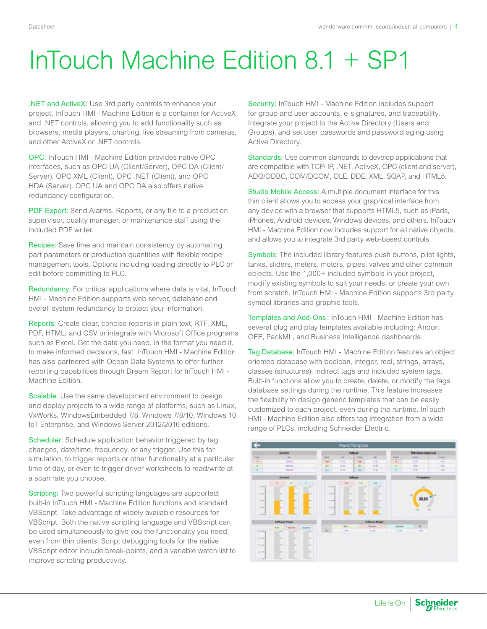.NET and ActiveX: Use 3rd party controls to enhance your project. InTouch HMI - Machine Edition is a container for ActiveX and .NET controls, allowing you to add functionality such as browsers, media players, charting, live streaming from cameras, and other ActiveX or .NET controls.

OPC: InTouch HMI - Machine Edition provides native OPC interfaces, such as OPC UA (Client/Server), OPC DA (Client/ Server), OPC XML (Client), OPC .NET (Client), and OPC HDA (Server). OPC UA and OPC DA also offers native redundancy configuration.

PDF Export: Send Alarms, Reports, or any file to a production supervisor, quality manager, or maintenance staff using the included PDF writer.

Recipes: Save time and maintain consistency by automating part parameters or production quantities with flexible recipe management tools. Options including loading directly to PLC or edit before committing to PLC.

Redundancy: For critical applications where data is vital, InTouch HMI - Machine Edition supports web server, database and overall system redundancy to protect your information.

Reports: Create clear, concise reports in plain text, RTF, XML, PDF, HTML, and CSV or integrate with Microsoft Office programs such as Excel. Get the data you need, in the format you need it, to make informed decisions, fast. InTouch HMI - Machine Edition has also partnered with Ocean Data Systems to offer further reporting capabilities through Dream Report for InTouch HMI - Machine Edition.<sup>\*</sup>

Scalable: Use the same development environment to design and deploy projects to a wide range of platforms, such as Linux, VxWorks, WindowsEmbedded 7/8, Windows 7/8/10, Windows 10 IoT Enterprise, and Windows Server 2012/2016 editions.

Scheduler: Schedule application behavior triggered by tag changes, date/time, frequency, or any trigger. Use this for simulation, to trigger reports or other functionality at a particular time of day, or even to trigger driver worksheets to read/write at a scan rate you choose.

Scripting: Two powerful scripting languages are supported; built-in InTouch HMI - Machine Edition functions and standard VBScript. Take advantage of widely available resources for VBScript. Both the native scripting language and VBScript can be used simultaneously to give you the functionality you need, even from thin clients. Script debugging tools for the native VBScript editor include break-points, and a variable watch list to improve scripting productivity.

Security: InTouch HMI - Machine Edition includes support for group and user accounts, e-signatures, and traceability. Integrate your project to the Active Directory (Users and Groups), and set user passwords and password aging using Active Directory.

Standards: Use common standards to develop applications that are compatible with TCP/ IP, .NET, ActiveX, OPC (client and server), ADO/ODBC, COM/DCOM, OLE, DDE, XML, SOAP, and HTML5.

Studio Mobile Access: A multiple document interface for this thin client allows you to access your graphical interface from any device with a browser that supports HTML5, such as iPads, iPhones, Android devices, Windows devices, and others. InTouch HMI - Machine Edition now includes support for all native objects, and allows you to integrate 3rd party web-based controls.

Symbols: The included library features push buttons, pilot lights, tanks, sliders, meters, motors, pipes, valves and other common objects. Use the 1,000+ included symbols in your project, modify existing symbols to suit your needs, or create your own from scratch. InTouch HMI - Machine Edition supports 3rd party symbol libraries and graphic tools.

Templates and Add-Ons: InTouch HMI - Machine Edition has several plug and play templates available including: Andon, OEE, PackML, and Business Intelligence dashboards.

Tag Database: InTouch HMI - Machine Edition features an object oriented database with boolean, integer, real, strings, arrays, classes (structures), indirect tags and included system tags. Built-in functions allow you to create, delete, or modify the tags database settings during the runtime. This feature increases the flexibility to design generic templates that can be easily customized to each project, even during the runtime. InTouch HMI - Machine Edition also offers tag integration from a wide range of PLCs, including Schneider Electric.